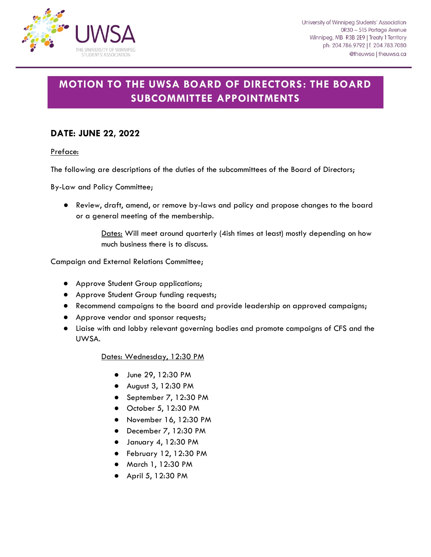

# **MOTION TO THE UWSA BOARD OF DIRECTORS: THE BOARD SUBCOMMITTEE APPOINTMENTS**

# **DATE: JUNE 22, 2022**

Preface:

The following are descriptions of the duties of the subcommittees of the Board of Directors;

By-Law and Policy Committee;

● Review, draft, amend, or remove by-laws and policy and propose changes to the board or a general meeting of the membership.

> Dates: Will meet around quarterly (4ish times at least) mostly depending on how much business there is to discuss.

Campaign and External Relations Committee;

- Approve Student Group applications;
- Approve Student Group funding requests;
- Recommend campaigns to the board and provide leadership on approved campaigns;
- Approve vendor and sponsor requests;
- Liaise with and lobby relevant governing bodies and promote campaigns of CFS and the UWSA.

## Dates: Wednesday, 12:30 PM

- June 29, 12:30 PM
- August 3, 12:30 PM
- September 7, 12:30 PM
- October 5, 12:30 PM
- November 16, 12:30 PM
- December 7, 12:30 PM
- January 4, 12:30 PM
- February 12, 12:30 PM
- March 1, 12:30 PM
- April 5, 12:30 PM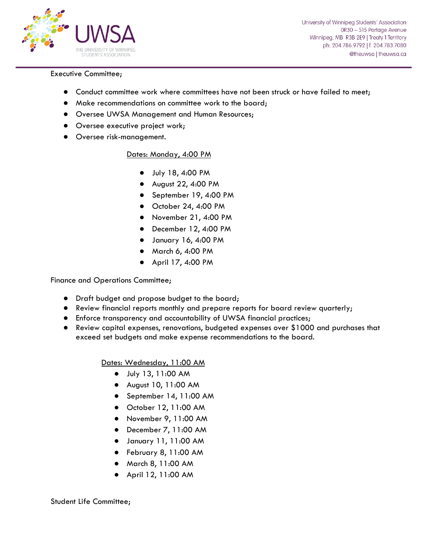

University of Winnipeg Students' Association 0R30 - 515 Portage Avenue Winnipeg, MB R3B 2E9 | Treaty 1 Territory ph: 204.786.9792 | f. 204.783.7080 @theuwsa | theuwsa.ca

#### Executive Committee;

- Conduct committee work where committees have not been struck or have failed to meet;
- Make recommendations on committee work to the board;
- Oversee UWSA Management and Human Resources;
- Oversee executive project work;
- Oversee risk-management.

### Dates: Monday, 4:00 PM

- July 18, 4:00 PM
- August 22, 4:00 PM
- September 19, 4:00 PM
- October 24, 4:00 PM
- November 21, 4:00 PM
- December 12, 4:00 PM
- January 16, 4:00 PM
- March 6, 4:00 PM
- April 17, 4:00 PM

Finance and Operations Committee;

- Draft budget and propose budget to the board;
- Review financial reports monthly and prepare reports for board review quarterly;
- Enforce transparency and accountability of UWSA financial practices;
- Review capital expenses, renovations, budgeted expenses over \$1000 and purchases that exceed set budgets and make expense recommendations to the board.

Dates: Wednesday, 11:00 AM

- July 13, 11:00 AM
- August 10, 11:00 AM
- September 14, 11:00 AM
- October 12, 11:00 AM
- November 9, 11:00 AM
- December 7, 11:00 AM
- January 11, 11:00 AM
- February 8, 11:00 AM
- March 8, 11:00 AM
- April 12, 11:00 AM

Student Life Committee;